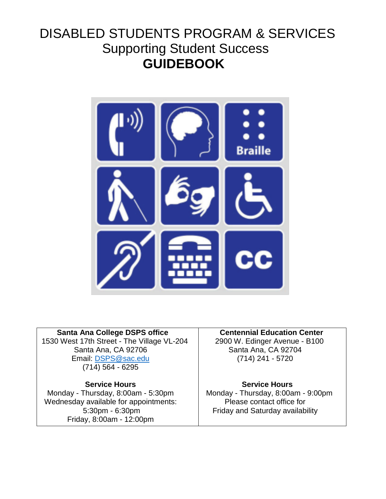# DISABLED STUDENTS PROGRAM & SERVICES Supporting Student Success  **GUIDEBOOK**



 **Santa Ana College DSPS office** 1530 West 17th Street - The Village VL-204 Santa Ana, CA 92706 Email: [DSPS@sac.edu](mailto:DSPS@sac.edu) (714) 564 - 6295

### **Service Hours**

Monday - Thursday, 8:00am - 5:30pm Wednesday available for appointments: 5:30pm - 6:30pm Friday, 8:00am - 12:00pm

 **Centennial Education Center**

 2900 W. Edinger Avenue - B100 Santa Ana, CA 92704 (714) 241 - 5720

#### **Service Hours**

 Monday - Thursday, 8:00am - 9:00pm Please contact office for Friday and Saturday availability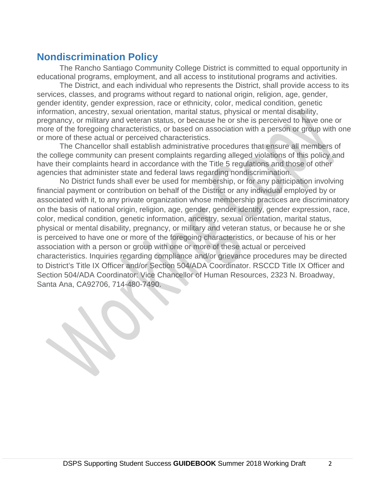# **Nondiscrimination Policy**

The Rancho Santiago Community College District is committed to equal opportunity in educational programs, employment, and all access to institutional programs and activities.

The District, and each individual who represents the District, shall provide access to its services, classes, and programs without regard to national origin, religion, age, gender, gender identity, gender expression, race or ethnicity, color, medical condition, genetic information, ancestry, sexual orientation, marital status, physical or mental disability, pregnancy, or military and veteran status, or because he or she is perceived to have one or more of the foregoing characteristics, or based on association with a person or group with one or more of these actual or perceived characteristics.

The Chancellor shall establish administrative procedures that ensure all members of the college community can present complaints regarding alleged violations of this policy and have their complaints heard in accordance with the Title 5 regulations and those of other agencies that administer state and federal laws regarding nondiscrimination.

No District funds shall ever be used for membership, or for any participation involving financial payment or contribution on behalf of the District or any individual employed by or associated with it, to any private organization whose membership practices are discriminatory on the basis of national origin, religion, age, gender, gender identity, gender expression, race, color, medical condition, genetic information, ancestry, sexual orientation, marital status, physical or mental disability, pregnancy, or military and veteran status, or because he or she is perceived to have one or more of the foregoing characteristics, or because of his or her association with a person or group with one or more of these actual or perceived characteristics. Inquiries regarding compliance and/or grievance procedures may be directed to District's Title IX Officer and/or Section 504/ADA Coordinator. RSCCD Title IX Officer and Section 504/ADA Coordinator: Vice Chancellor of Human Resources, 2323 N. Broadway, Santa Ana, CA92706, 714-480-7490.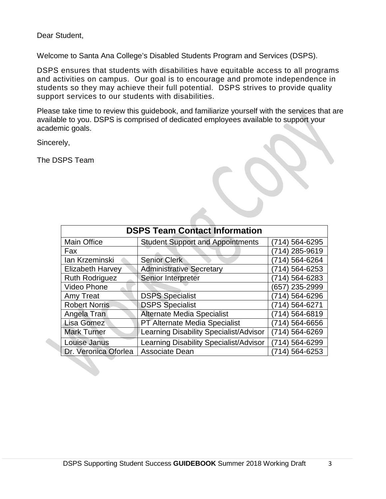Dear Student,

Welcome to Santa Ana College's Disabled Students Program and Services (DSPS).

DSPS ensures that students with disabilities have equitable access to all programs and activities on campus. Our goal is to encourage and promote independence in students so they may achieve their full potential. DSPS strives to provide quality support services to our students with disabilities.

Please take time to review this guidebook, and familiarize yourself with the services that are available to you. DSPS is comprised of dedicated employees available to support your academic goals.

Sincerely,

The DSPS Team

| <b>DSPS Team Contact Information</b> |                                         |                   |  |  |
|--------------------------------------|-----------------------------------------|-------------------|--|--|
| <b>Main Office</b>                   | <b>Student Support and Appointments</b> | 564-6295<br>(714) |  |  |
| Fax                                  |                                         | 285-9619<br>4)    |  |  |
| lan Krzeminski                       | <b>Senior Clerk</b>                     | 564-6264<br>714)  |  |  |
| <b>Elizabeth Harvey</b>              | <b>Administrative Secretary</b>         | 564-6253<br>714)  |  |  |
| <b>Ruth Rodriguez</b>                | Senior Interpreter                      | 564-6283<br>714)  |  |  |
| <b>Video Phone</b>                   |                                         | 235-2999<br>(657  |  |  |
| Amy Treat                            | <b>DSPS Specialist</b>                  | 714) 564-6296     |  |  |
| <b>Robert Norris</b>                 | <b>DSPS Specialist</b>                  | 564-6271<br>714)  |  |  |
| Angela Tran                          | Alternate Media Specialist              | 714) 564-6819     |  |  |
| <b>Lisa Gomez</b>                    | PT Alternate Media Specialist           | 714) 564-6656     |  |  |
| <b>Mark Turner</b>                   | Learning Disability Specialist/Advisor  | (714) 564-6269    |  |  |
| Louise Janus                         | Learning Disability Specialist/Advisor  | 714) 564-6299     |  |  |
| Dr. Veronica Oforlea                 | <b>Associate Dean</b>                   | 564-6253<br>714)  |  |  |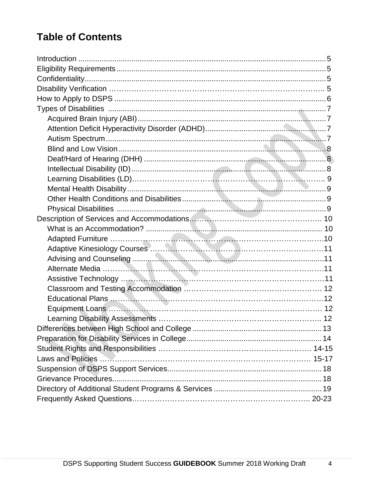# **Table of Contents**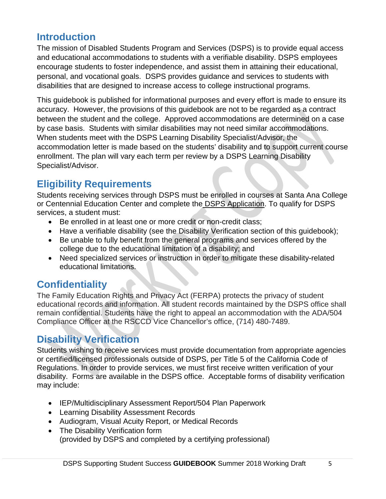# **Introduction**

The mission of Disabled Students Program and Services (DSPS) is to provide equal access and educational accommodations to students with a verifiable disability. DSPS employees encourage students to foster independence, and assist them in attaining their educational, personal, and vocational goals. DSPS provides guidance and services to students with disabilities that are designed to increase access to college instructional programs.

This guidebook is published for informational purposes and every effort is made to ensure its accuracy. However, the provisions of this guidebook are not to be regarded as a contract between the student and the college. Approved accommodations are determined on a case by case basis. Students with similar disabilities may not need similar accommodations. When students meet with the DSPS Learning Disability Specialist/Advisor, the accommodation letter is made based on the students' disability and to support current course enrollment. The plan will vary each term per review by a DSPS Learning Disability Specialist/Advisor.

# **Eligibility Requirements**

Students receiving services through DSPS must be enrolled in courses at Santa Ana College or Centennial Education Center and complete the DSPS Application. To qualify for DSPS services, a student must:

- Be enrolled in at least one or more credit or non-credit class;
- Have a verifiable disability (see the Disability Verification section of this guidebook);
- Be unable to fully benefit from the general programs and services offered by the college due to the educational limitation of a disability; and
- Need specialized services or instruction in order to mitigate these disability-related educational limitations.

# **Confidentiality**

The Family Education Rights and Privacy Act (FERPA) protects the privacy of student educational records and information. All student records maintained by the DSPS office shall remain confidential. Students have the right to appeal an accommodation with the ADA/504 Compliance Officer at the RSCCD Vice Chancellor's office, (714) 480-7489.

# **Disability Verification**

Students wishing to receive services must provide documentation from appropriate agencies or certified/licensed professionals outside of DSPS, per Title 5 of the California Code of Regulations. In order to provide services, we must first receive written verification of your disability. Forms are available in the DSPS office. Acceptable forms of disability verification may include:

- IEP/Multidisciplinary Assessment Report/504 Plan Paperwork
- Learning Disability Assessment Records
- Audiogram, Visual Acuity Report, or Medical Records
- The Disability Verification form (provided by DSPS and completed by a certifying professional)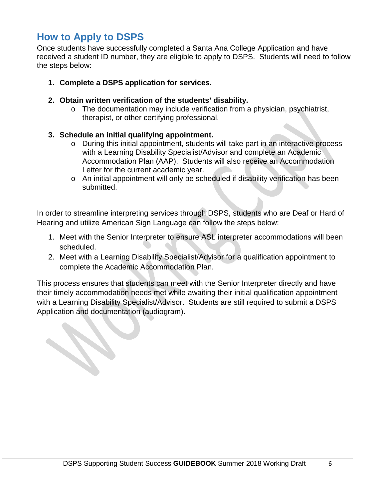# **How to Apply to DSPS**

Once students have successfully completed a Santa Ana College Application and have received a student ID number, they are eligible to apply to DSPS. Students will need to follow the steps below:

- **1. Complete a DSPS application for services.**
- **2. Obtain written verification of the students' disability.** 
	- o The documentation may include verification from a physician, psychiatrist, therapist, or other certifying professional.
- **3. Schedule an initial qualifying appointment.** 
	- o During this initial appointment, students will take part in an interactive process with a Learning Disability Specialist/Advisor and complete an Academic Accommodation Plan (AAP). Students will also receive an Accommodation Letter for the current academic year.
	- o An initial appointment will only be scheduled if disability verification has been submitted.

In order to streamline interpreting services through DSPS, students who are Deaf or Hard of Hearing and utilize American Sign Language can follow the steps below:

- 1. Meet with the Senior Interpreter to ensure ASL interpreter accommodations will been scheduled.
- 2. Meet with a Learning Disability Specialist/Advisor for a qualification appointment to complete the Academic Accommodation Plan.

This process ensures that students can meet with the Senior Interpreter directly and have their timely accommodation needs met while awaiting their initial qualification appointment with a Learning Disability Specialist/Advisor. Students are still required to submit a DSPS Application and documentation (audiogram).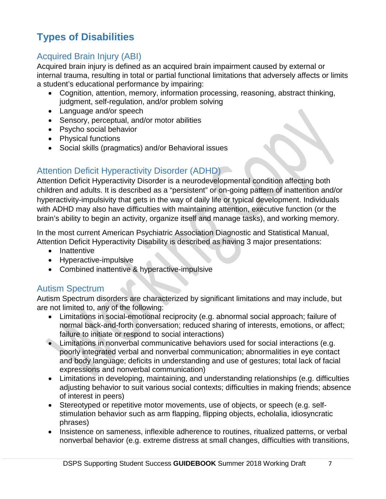# **Types of Disabilities**

# Acquired Brain Injury (ABI)

Acquired brain injury is defined as an acquired brain impairment caused by external or internal trauma, resulting in total or partial functional limitations that adversely affects or limits a student's educational performance by impairing:

- Cognition, attention, memory, information processing, reasoning, abstract thinking, judgment, self-regulation, and/or problem solving
- Language and/or speech
- Sensory, perceptual, and/or motor abilities
- Psycho social behavior
- Physical functions
- Social skills (pragmatics) and/or Behavioral issues

## Attention Deficit Hyperactivity Disorder (ADHD)

Attention Deficit Hyperactivity Disorder is a neurodevelopmental condition affecting both children and adults. It is described as a "persistent" or on-going pattern of inattention and/or hyperactivity-impulsivity that gets in the way of daily life or typical development. Individuals with ADHD may also have difficulties with maintaining attention, executive function (or the brain's ability to begin an activity, organize itself and manage tasks), and working memory.

In the most current American Psychiatric Association Diagnostic and Statistical Manual, Attention Deficit Hyperactivity Disability is described as having 3 major presentations:

- Inattentive
- Hyperactive-impulsive
- Combined inattentive & hyperactive-impulsive

## Autism Spectrum

Autism Spectrum disorders are characterized by significant limitations and may include, but are not limited to, any of the following:

- Limitations in social-emotional reciprocity (e.g. abnormal social approach; failure of normal back-and-forth conversation; reduced sharing of interests, emotions, or affect; failure to initiate or respond to social interactions)
- Limitations in nonverbal communicative behaviors used for social interactions (e.g. poorly integrated verbal and nonverbal communication; abnormalities in eye contact and body language; deficits in understanding and use of gestures; total lack of facial expressions and nonverbal communication)
- Limitations in developing, maintaining, and understanding relationships (e.g. difficulties adjusting behavior to suit various social contexts; difficulties in making friends; absence of interest in peers)
- Stereotyped or repetitive motor movements, use of objects, or speech (e.g. selfstimulation behavior such as arm flapping, flipping objects, echolalia, idiosyncratic phrases)
- Insistence on sameness, inflexible adherence to routines, ritualized patterns, or verbal nonverbal behavior (e.g. extreme distress at small changes, difficulties with transitions,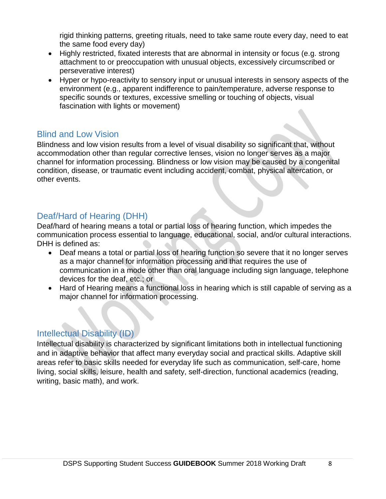rigid thinking patterns, greeting rituals, need to take same route every day, need to eat the same food every day)

- Highly restricted, fixated interests that are abnormal in intensity or focus (e.g. strong attachment to or preoccupation with unusual objects, excessively circumscribed or perseverative interest)
- Hyper or hypo-reactivity to sensory input or unusual interests in sensory aspects of the environment (e.g., apparent indifference to pain/temperature, adverse response to specific sounds or textures, excessive smelling or touching of objects, visual fascination with lights or movement)

### Blind and Low Vision

Blindness and low vision results from a level of visual disability so significant that, without accommodation other than regular corrective lenses, vision no longer serves as a major channel for information processing. Blindness or low vision may be caused by a congenital condition, disease, or traumatic event including accident, combat, physical altercation, or other events.

# Deaf/Hard of Hearing (DHH)

Deaf/hard of hearing means a total or partial loss of hearing function, which impedes the communication process essential to language, educational, social, and/or cultural interactions. DHH is defined as:

- Deaf means a total or partial loss of hearing function so severe that it no longer serves as a major channel for information processing and that requires the use of communication in a mode other than oral language including sign language, telephone devices for the deaf, etc.; or
- Hard of Hearing means a functional loss in hearing which is still capable of serving as a major channel for information processing.

### Intellectual Disability (ID)

Intellectual disability is characterized by significant limitations both in intellectual functioning and in adaptive behavior that affect many everyday social and practical skills. Adaptive skill areas refer to basic skills needed for everyday life such as communication, self-care, home living, social skills, leisure, health and safety, self-direction, functional academics (reading, writing, basic math), and work.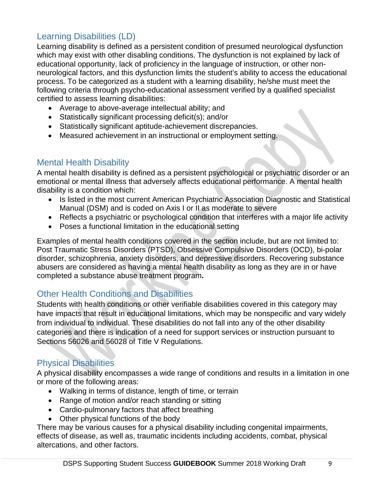# Learning Disabilities (LD)

Learning disability is defined as a persistent condition of presumed neurological dysfunction which may exist with other disabling conditions. The dysfunction is not explained by lack of educational opportunity, lack of proficiency in the language of instruction, or other nonneurological factors, and this dysfunction limits the student's ability to access the educational process. To be categorized as a student with a learning disability, he/she must meet the following criteria through psycho-educational assessment verified by a qualified specialist certified to assess learning disabilities:

- Average to above-average intellectual ability; and
- Statistically significant processing deficit(s); and/or
- Statistically significant aptitude-achievement discrepancies.
- Measured achievement in an instructional or employment setting.

### Mental Health Disability

A mental health disability is defined as a persistent psychological or psychiatric disorder or an emotional or mental illness that adversely affects educational performance. A mental health disability is a condition which:

- Is listed in the most current American Psychiatric Association Diagnostic and Statistical Manual (DSM) and is coded on Axis I or II as moderate to severe
- Reflects a psychiatric or psychological condition that interferes with a major life activity
- Poses a functional limitation in the educational setting

Examples of mental health conditions covered in the section include, but are not limited to: Post Traumatic Stress Disorders (PTSD), Obsessive Compulsive Disorders (OCD), bi-polar disorder, schizophrenia, anxiety disorders, and depressive disorders. Recovering substance abusers are considered as having a mental health disability as long as they are in or have completed a substance abuse treatment program**.**

## Other Health Conditions and Disabilities

Students with health conditions or other verifiable disabilities covered in this category may have impacts that result in educational limitations, which may be nonspecific and vary widely from individual to individual. These disabilities do not fall into any of the other disability categories and there is indication of a need for support services or instruction pursuant to Sections 56026 and 56028 of Title V Regulations.

## Physical Disabilities

A physical disability encompasses a wide range of conditions and results in a limitation in one or more of the following areas:

- Walking in terms of distance, length of time, or terrain
- Range of motion and/or reach standing or sitting
- Cardio-pulmonary factors that affect breathing
- Other physical functions of the body

There may be various causes for a physical disability including congenital impairments, effects of disease, as well as, traumatic incidents including accidents, combat, physical altercations, and other factors.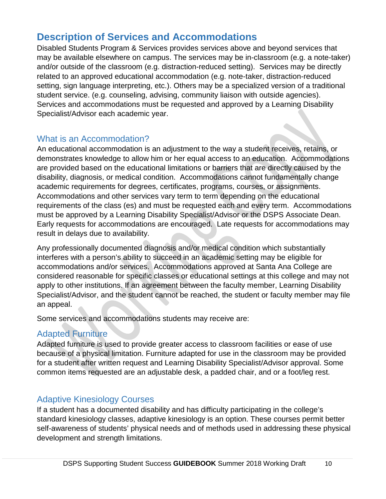# **Description of Services and Accommodations**

Disabled Students Program & Services provides services above and beyond services that may be available elsewhere on campus. The services may be in-classroom (e.g. a note-taker) and/or outside of the classroom (e.g. distraction-reduced setting). Services may be directly related to an approved educational accommodation (e.g. note-taker, distraction-reduced setting, sign language interpreting, etc.). Others may be a specialized version of a traditional student service. (e.g. counseling, advising, community liaison with outside agencies). Services and accommodations must be requested and approved by a Learning Disability Specialist/Advisor each academic year.

### What is an Accommodation?

An educational accommodation is an adjustment to the way a student receives, retains, or demonstrates knowledge to allow him or her equal access to an education. Accommodations are provided based on the educational limitations or barriers that are directly caused by the disability, diagnosis, or medical condition. Accommodations cannot fundamentally change academic requirements for degrees, certificates, programs, courses, or assignments. Accommodations and other services vary term to term depending on the educational requirements of the class (es) and must be requested each and every term. Accommodations must be approved by a Learning Disability Specialist/Advisor or the DSPS Associate Dean. Early requests for accommodations are encouraged. Late requests for accommodations may result in delays due to availability.

Any professionally documented diagnosis and/or medical condition which substantially interferes with a person's ability to succeed in an academic setting may be eligible for accommodations and/or services. Accommodations approved at Santa Ana College are considered reasonable for specific classes or educational settings at this college and may not apply to other institutions. If an agreement between the faculty member, Learning Disability Specialist/Advisor, and the student cannot be reached, the student or faculty member may file an appeal.

Some services and accommodations students may receive are:

# Adapted Furniture

Adapted furniture is used to provide greater access to classroom facilities or ease of use because of a physical limitation. Furniture adapted for use in the classroom may be provided for a student after written request and Learning Disability Specialist/Advisor approval. Some common items requested are an adjustable desk, a padded chair, and or a foot/leg rest.

## Adaptive Kinesiology Courses

If a student has a documented disability and has difficulty participating in the college's standard kinesiology classes, adaptive kinesiology is an option. These courses permit better self-awareness of students' physical needs and of methods used in addressing these physical development and strength limitations.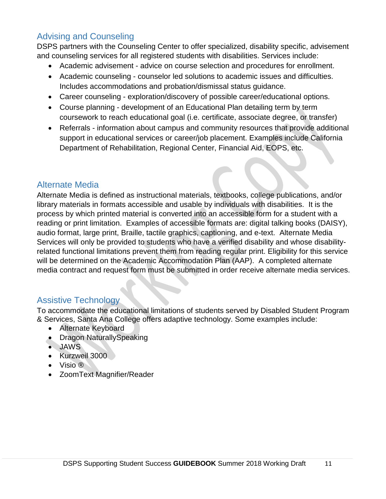# Advising and Counseling

DSPS partners with the Counseling Center to offer specialized, disability specific, advisement and counseling services for all registered students with disabilities. Services include:

- Academic advisement advice on course selection and procedures for enrollment.
- Academic counseling counselor led solutions to academic issues and difficulties. Includes accommodations and probation/dismissal status guidance.
- Career counseling exploration/discovery of possible career/educational options.
- Course planning development of an Educational Plan detailing term by term coursework to reach educational goal (i.e. certificate, associate degree, or transfer)
- Referrals information about campus and community resources that provide additional support in educational services or career/job placement. Examples include California Department of Rehabilitation, Regional Center, Financial Aid, EOPS, etc.

### Alternate Media

Alternate Media is defined as instructional materials, textbooks, college publications, and/or library materials in formats accessible and usable by individuals with disabilities. It is the process by which printed material is converted into an accessible form for a student with a reading or print limitation. Examples of accessible formats are: digital talking books (DAISY), audio format, large print, Braille, tactile graphics, captioning, and e-text. Alternate Media Services will only be provided to students who have a verified disability and whose disabilityrelated functional limitations prevent them from reading regular print. Eligibility for this service will be determined on the Academic Accommodation Plan (AAP). A completed alternate media contract and request form must be submitted in order receive alternate media services.

## Assistive Technology

To accommodate the educational limitations of students served by Disabled Student Program & Services, Santa Ana College offers adaptive technology. Some examples include:

- Alternate Keyboard
- Dragon NaturallySpeaking
- JAWS
- Kurzweil 3000
- Visio ®
- ZoomText Magnifier/Reader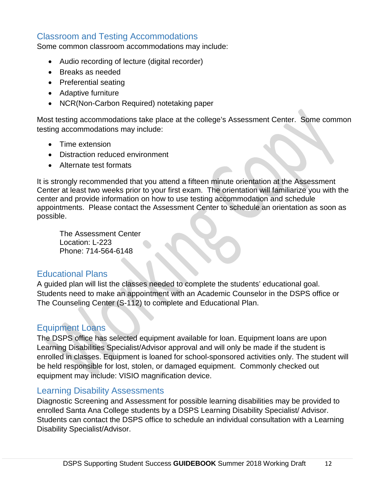### Classroom and Testing Accommodations

Some common classroom accommodations may include:

- Audio recording of lecture (digital recorder)
- Breaks as needed
- Preferential seating
- Adaptive furniture
- NCR(Non-Carbon Required) notetaking paper

Most testing accommodations take place at the college's Assessment Center. Some common testing accommodations may include:

- Time extension
- Distraction reduced environment
- Alternate test formats

It is strongly recommended that you attend a fifteen minute orientation at the Assessment Center at least two weeks prior to your first exam. The orientation will familiarize you with the center and provide information on how to use testing accommodation and schedule appointments. Please contact the Assessment Center to schedule an orientation as soon as possible.

The Assessment Center Location: L-223 Phone: 714-564-6148

### Educational Plans

A guided plan will list the classes needed to complete the students' educational goal. Students need to make an appointment with an Academic Counselor in the DSPS office or The Counseling Center (S-112) to complete and Educational Plan.

### Equipment Loans

The DSPS office has selected equipment available for loan. Equipment loans are upon Learning Disabilities Specialist/Advisor approval and will only be made if the student is enrolled in classes. Equipment is loaned for school-sponsored activities only. The student will be held responsible for lost, stolen, or damaged equipment. Commonly checked out equipment may include: VISIO magnification device.

### Learning Disability Assessments

Diagnostic Screening and Assessment for possible learning disabilities may be provided to enrolled Santa Ana College students by a DSPS Learning Disability Specialist/ Advisor. Students can contact the DSPS office to schedule an individual consultation with a Learning Disability Specialist/Advisor.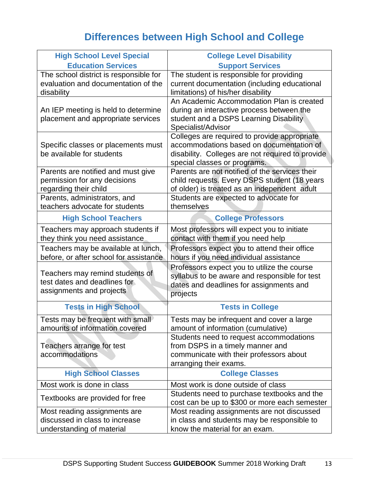# **Differences between High School and College**

| <b>High School Level Special</b>                                                            | <b>College Level Disability</b>                                                                                                                                              |  |  |
|---------------------------------------------------------------------------------------------|------------------------------------------------------------------------------------------------------------------------------------------------------------------------------|--|--|
| <b>Education Services</b>                                                                   | <b>Support Services</b>                                                                                                                                                      |  |  |
| The school district is responsible for<br>evaluation and documentation of the<br>disability | The student is responsible for providing<br>current documentation (including educational<br>limitations) of his/her disability                                               |  |  |
| An IEP meeting is held to determine<br>placement and appropriate services                   | An Academic Accommodation Plan is created<br>during an interactive process between the<br>student and a DSPS Learning Disability<br>Specialist/Advisor                       |  |  |
| Specific classes or placements must<br>be available for students                            | Colleges are required to provide appropriate<br>accommodations based on documentation of<br>disability. Colleges are not required to provide<br>special classes or programs. |  |  |
| Parents are notified and must give<br>permission for any decisions<br>regarding their child | Parents are not notified of the services their<br>child requests. Every DSPS student (18 years<br>of older) is treated as an independent adult                               |  |  |
| Parents, administrators, and<br>teachers advocate for students                              | Students are expected to advocate for<br>themselves                                                                                                                          |  |  |
| <b>High School Teachers</b>                                                                 | <b>College Professors</b>                                                                                                                                                    |  |  |
| Teachers may approach students if<br>they think you need assistance                         | Most professors will expect you to initiate<br>contact with them if you need help                                                                                            |  |  |
| Teachers may be available at lunch,<br>before, or after school for assistance               | Professors expect you to attend their office<br>hours if you need individual assistance                                                                                      |  |  |
| Teachers may remind students of<br>test dates and deadlines for<br>assignments and projects | Professors expect you to utilize the course<br>syllabus to be aware and responsible for test<br>dates and deadlines for assignments and<br>projects                          |  |  |
| <b>Tests in High School</b>                                                                 | <b>Tests in College</b>                                                                                                                                                      |  |  |
| Tests may be frequent with small<br>amounts of information covered                          | Tests may be infrequent and cover a large<br>amount of information (cumulative)                                                                                              |  |  |
| Teachers arrange for test<br>accommodations                                                 | Students need to request accommodations<br>from DSPS in a timely manner and<br>communicate with their professors about<br>arranging their exams.                             |  |  |
| <b>High School Classes</b>                                                                  | <b>College Classes</b>                                                                                                                                                       |  |  |
| Most work is done in class                                                                  | Most work is done outside of class                                                                                                                                           |  |  |
| Textbooks are provided for free                                                             | Students need to purchase textbooks and the<br>cost can be up to \$300 or more each semester                                                                                 |  |  |
| Most reading assignments are<br>discussed in class to increase<br>understanding of material | Most reading assignments are not discussed<br>in class and students may be responsible to<br>know the material for an exam.                                                  |  |  |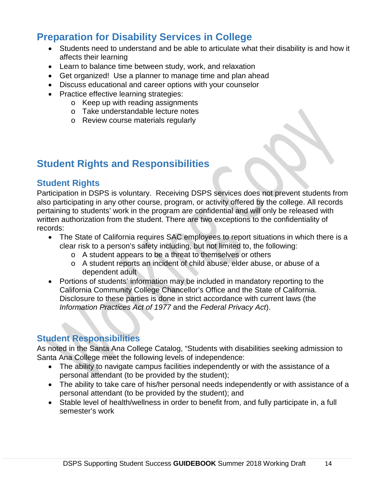# **Preparation for Disability Services in College**

- Students need to understand and be able to articulate what their disability is and how it affects their learning
- Learn to balance time between study, work, and relaxation
- Get organized! Use a planner to manage time and plan ahead
- Discuss educational and career options with your counselor
- Practice effective learning strategies:
	- o Keep up with reading assignments
	- o Take understandable lecture notes
	- o Review course materials regularly

# **Student Rights and Responsibilities**

### **Student Rights**

Participation in DSPS is voluntary. Receiving DSPS services does not prevent students from also participating in any other course, program, or activity offered by the college. All records pertaining to students' work in the program are confidential and will only be released with written authorization from the student. There are two exceptions to the confidentiality of records:

- The State of California requires SAC employees to report situations in which there is a clear risk to a person's safety including, but not limited to, the following:
	- o A student appears to be a threat to themselves or others
	- o A student reports an incident of child abuse, elder abuse, or abuse of a dependent adult
- Portions of students' information may be included in mandatory reporting to the California Community College Chancellor's Office and the State of California. Disclosure to these parties is done in strict accordance with current laws (the *Information Practices Act of 1977* and the *Federal Privacy Act*).

### **Student Responsibilities**

As noted in the Santa Ana College Catalog, "Students with disabilities seeking admission to Santa Ana College meet the following levels of independence:

- The ability to navigate campus facilities independently or with the assistance of a personal attendant (to be provided by the student);
- The ability to take care of his/her personal needs independently or with assistance of a personal attendant (to be provided by the student); and
- Stable level of health/wellness in order to benefit from, and fully participate in, a full semester's work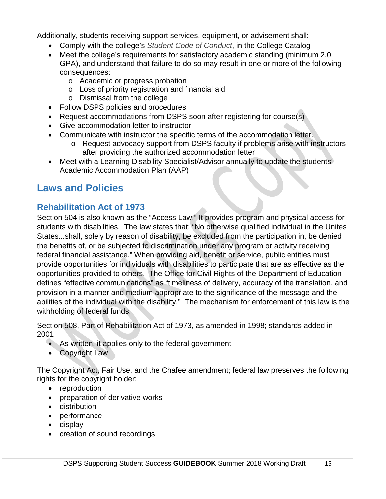Additionally, students receiving support services, equipment, or advisement shall:

- Comply with the college's *Student Code of Conduct*, in the College Catalog
- Meet the college's requirements for satisfactory academic standing (minimum 2.0 GPA), and understand that failure to do so may result in one or more of the following consequences:
	- o Academic or progress probation
	- o Loss of priority registration and financial aid
	- o Dismissal from the college
- Follow DSPS policies and procedures
- Request accommodations from DSPS soon after registering for course(s)
- Give accommodation letter to instructor
- Communicate with instructor the specific terms of the accommodation letter.
	- o Request advocacy support from DSPS faculty if problems arise with instructors after providing the authorized accommodation letter
- Meet with a Learning Disability Specialist/Advisor annually to update the students' Academic Accommodation Plan (AAP)

# **Laws and Policies**

# **Rehabilitation Act of 1973**

Section 504 is also known as the "Access Law." It provides program and physical access for students with disabilities. The law states that: "No otherwise qualified individual in the Unites States...shall, solely by reason of disability, be excluded from the participation in, be denied the benefits of, or be subjected to discrimination under any program or activity receiving federal financial assistance." When providing aid, benefit or service, public entities must provide opportunities for individuals with disabilities to participate that are as effective as the opportunities provided to others. The Office for Civil Rights of the Department of Education defines "effective communications" as "timeliness of delivery, accuracy of the translation, and provision in a manner and medium appropriate to the significance of the message and the abilities of the individual with the disability." The mechanism for enforcement of this law is the withholding of federal funds.

Section 508, Part of Rehabilitation Act of 1973, as amended in 1998; standards added in 2001

- As written, it applies only to the federal government
- Copyright Law

The Copyright Act, Fair Use, and the Chafee amendment; federal law preserves the following rights for the copyright holder:

- reproduction
- preparation of derivative works
- distribution
- performance
- display
- creation of sound recordings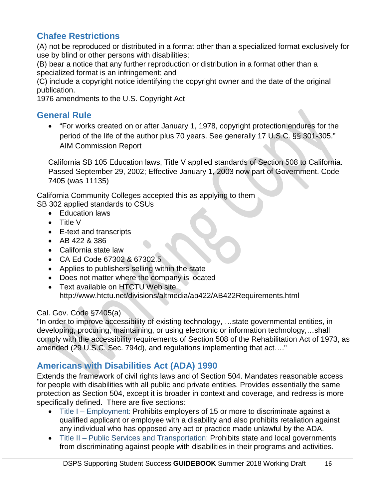# **Chafee Restrictions**

(A) not be reproduced or distributed in a format other than a specialized format exclusively for use by blind or other persons with disabilities;

(B) bear a notice that any further reproduction or distribution in a format other than a specialized format is an infringement; and

(C) include a copyright notice identifying the copyright owner and the date of the original publication.

1976 amendments to the U.S. Copyright Act

### **General Rule**

• "For works created on or after January 1, 1978, copyright protection endures for the period of the life of the author plus 70 years. See generally 17 U.S.C. §§ 301-305." AIM Commission Report

California SB 105 Education laws, Title V applied standards of Section 508 to California. Passed September 29, 2002; Effective January 1, 2003 now part of Government. Code 7405 (was 11135)

California Community Colleges accepted this as applying to them SB 302 applied standards to CSUs

- Education laws
- Title V
- E-text and transcripts
- AB 422 & 386
- California state law
- CA Ed Code 67302 & 67302.5
- Applies to publishers selling within the state
- Does not matter where the company is located
- Text available on HTCTU Web site http://www.htctu.net/divisions/altmedia/ab422/AB422Requirements.html

### Cal. Gov. Code §7405(a)

"In order to improve accessibility of existing technology, …state governmental entities, in developing, procuring, maintaining, or using electronic or information technology,…shall comply with the accessibility requirements of Section 508 of the Rehabilitation Act of 1973, as amended (29 U.S.C. Sec. 794d), and regulations implementing that act…."

# **Americans with Disabilities Act (ADA) 1990**

Extends the framework of civil rights laws and of Section 504. Mandates reasonable access for people with disabilities with all public and private entities. Provides essentially the same protection as Section 504, except it is broader in context and coverage, and redress is more specifically defined. There are five sections:

- Title I Employment: Prohibits employers of 15 or more to discriminate against a qualified applicant or employee with a disability and also prohibits retaliation against any individual who has opposed any act or practice made unlawful by the ADA.
- Title II Public Services and Transportation: Prohibits state and local governments from discriminating against people with disabilities in their programs and activities.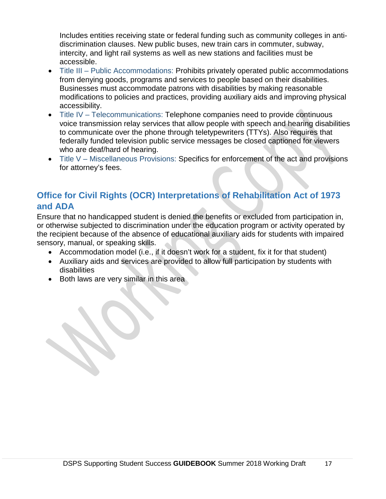Includes entities receiving state or federal funding such as community colleges in antidiscrimination clauses. New public buses, new train cars in commuter, subway, intercity, and light rail systems as well as new stations and facilities must be accessible.

- Title III Public Accommodations: Prohibits privately operated public accommodations from denying goods, programs and services to people based on their disabilities. Businesses must accommodate patrons with disabilities by making reasonable modifications to policies and practices, providing auxiliary aids and improving physical accessibility.
- Title IV Telecommunications: Telephone companies need to provide continuous voice transmission relay services that allow people with speech and hearing disabilities to communicate over the phone through teletypewriters (TTYs). Also requires that federally funded television public service messages be closed captioned for viewers who are deaf/hard of hearing.
- Title V Miscellaneous Provisions: Specifics for enforcement of the act and provisions for attorney's fees.

# **Office for Civil Rights (OCR) Interpretations of Rehabilitation Act of 1973 and ADA**

Ensure that no handicapped student is denied the benefits or excluded from participation in, or otherwise subjected to discrimination under the education program or activity operated by the recipient because of the absence of educational auxiliary aids for students with impaired sensory, manual, or speaking skills.

- Accommodation model (i.e., if it doesn't work for a student, fix it for that student)
- Auxiliary aids and services are provided to allow full participation by students with disabilities
- Both laws are very similar in this area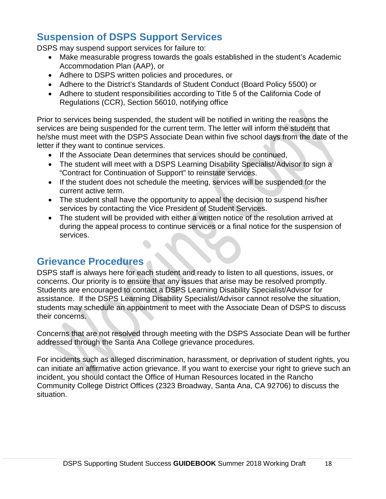# **Suspension of DSPS Support Services**

DSPS may suspend support services for failure to:

- Make measurable progress towards the goals established in the student's Academic Accommodation Plan (AAP), or
- Adhere to DSPS written policies and procedures, or
- Adhere to the District's Standards of Student Conduct (Board Policy 5500) or
- Adhere to student responsibilities according to Title 5 of the California Code of Regulations (CCR), Section 56010, notifying office

Prior to services being suspended, the student will be notified in writing the reasons the services are being suspended for the current term. The letter will inform the student that he/she must meet with the DSPS Associate Dean within five school days from the date of the letter if they want to continue services.

- If the Associate Dean determines that services should be continued,
- The student will meet with a DSPS Learning Disability Specialist/Advisor to sign a "Contract for Continuation of Support" to reinstate services.
- If the student does not schedule the meeting, services will be suspended for the current active term.
- The student shall have the opportunity to appeal the decision to suspend his/her services by contacting the Vice President of Student Services.
- The student will be provided with either a written notice of the resolution arrived at during the appeal process to continue services or a final notice for the suspension of services.

# **Grievance Procedures**

DSPS staff is always here for each student and ready to listen to all questions, issues, or concerns. Our priority is to ensure that any issues that arise may be resolved promptly. Students are encouraged to contact a DSPS Learning Disability Specialist/Advisor for assistance. If the DSPS Learning Disability Specialist/Advisor cannot resolve the situation, students may schedule an appointment to meet with the Associate Dean of DSPS to discuss their concerns.

Concerns that are not resolved through meeting with the DSPS Associate Dean will be further addressed through the Santa Ana College grievance procedures.

For incidents such as alleged discrimination, harassment, or deprivation of student rights, you can initiate an affirmative action grievance. If you want to exercise your right to grieve such an incident, you should contact the Office of Human Resources located in the Rancho Community College District Offices (2323 Broadway, Santa Ana, CA 92706) to discuss the situation.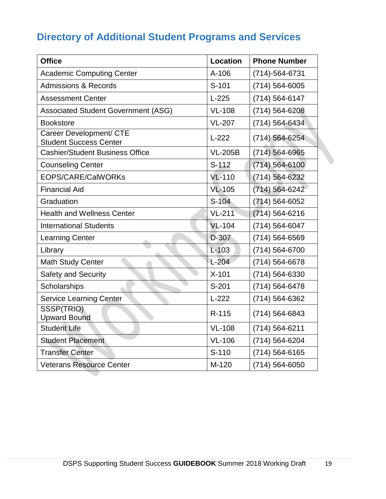# **Directory of Additional Student Programs and Services**

| <b>Office</b>                                            | <b>Location</b> | <b>Phone Number</b> |
|----------------------------------------------------------|-----------------|---------------------|
| <b>Academic Computing Center</b>                         | $A-106$         | $(714)-564-6731$    |
| <b>Admissions &amp; Records</b>                          | S-101           | (714) 564-6005      |
| <b>Assessment Center</b>                                 | $L-225$         | (714) 564-6147      |
| <b>Associated Student Government (ASG)</b>               | <b>VL-108</b>   | (714) 564-6208      |
| <b>Bookstore</b>                                         | <b>VL-207</b>   | (714) 564-6434      |
| Career Development/ CTE<br><b>Student Success Center</b> | $L-222$         | $(714) 564 - 6254$  |
| <b>Cashier/Student Business Office</b>                   | <b>VL-205B</b>  | $(714) 564 - 6965$  |
| <b>Counseling Center</b>                                 | $S-112$         | $(714)$ 564-6100    |
| <b>EOPS/CARE/CalWORKs</b>                                | <b>VL-110</b>   | (714) 564-6232      |
| <b>Financial Aid</b>                                     | <b>VL-105</b>   | (714) 564-6242      |
| Graduation                                               | $S-104$         | $(714) 564 - 6052$  |
| <b>Health and Wellness Center</b>                        | <b>VL-211</b>   | $(714) 564 - 6216$  |
| <b>International Students</b>                            | $VL-104$        | (714) 564-6047      |
| <b>Learning Center</b>                                   | D-307           | (714) 564-6569      |
| Library                                                  | $L - 103$       | (714) 564-6700      |
| <b>Math Study Center</b>                                 | $L-204$         | (714) 564-6678      |
| <b>Safety and Security</b>                               | $X-101$         | (714) 564-6330      |
| Scholarships                                             | $S-201$         | (714) 564-6478      |
| <b>Service Learning Center</b>                           | $L-222$         | (714) 564-6362      |
| SSSP(TRIO)<br><b>Upward Bound</b>                        | $R - 115$       | (714) 564-6843      |
| <b>Student Life</b>                                      | <b>VL-108</b>   | (714) 564-6211      |
| <b>Student Placement</b>                                 | <b>VL-106</b>   | (714) 564-6204      |
| <b>Transfer Center</b>                                   | $S-110$         | $(714) 564 - 6165$  |
| <b>Veterans Resource Center</b>                          | M-120           | (714) 564-6050      |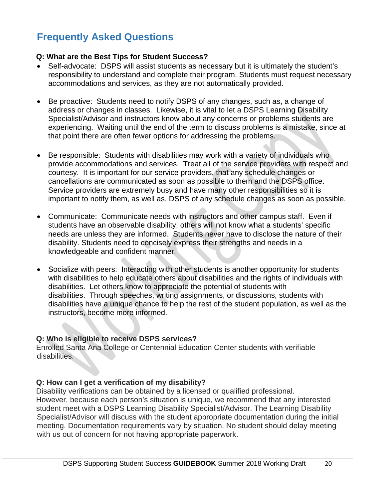# **Frequently Asked Questions**

#### **Q: What are the Best Tips for Student Success?**

- Self-advocate: DSPS will assist students as necessary but it is ultimately the student's responsibility to understand and complete their program. Students must request necessary accommodations and services, as they are not automatically provided.
- Be proactive: Students need to notify DSPS of any changes, such as, a change of address or changes in classes. Likewise, it is vital to let a DSPS Learning Disability Specialist/Advisor and instructors know about any concerns or problems students are experiencing. Waiting until the end of the term to discuss problems is a mistake, since at that point there are often fewer options for addressing the problems.
- Be responsible: Students with disabilities may work with a variety of individuals who provide accommodations and services. Treat all of the service providers with respect and courtesy. It is important for our service providers, that any schedule changes or cancellations are communicated as soon as possible to them and the DSPS office. Service providers are extremely busy and have many other responsibilities so it is important to notify them, as well as, DSPS of any schedule changes as soon as possible.
- Communicate: Communicate needs with instructors and other campus staff. Even if students have an observable disability, others will not know what a students' specific needs are unless they are informed. Students never have to disclose the nature of their disability. Students need to concisely express their strengths and needs in a knowledgeable and confident manner.
- Socialize with peers: Interacting with other students is another opportunity for students with disabilities to help educate others about disabilities and the rights of individuals with disabilities. Let others know to appreciate the potential of students with disabilities. Through speeches, writing assignments, or discussions, students with disabilities have a unique chance to help the rest of the student population, as well as the instructors, become more informed.

### **Q: Who is eligible to receive DSPS services?**

 Enrolled Santa Ana College or Centennial Education Center students with verifiable disabilities.

### **Q: How can I get a verification of my disability?**

 Disability verifications can be obtained by a licensed or qualified professional. However, because each person's situation is unique, we recommend that any interested student meet with a DSPS Learning Disability Specialist/Advisor. The Learning Disability Specialist/Advisor will discuss with the student appropriate documentation during the initial meeting. Documentation requirements vary by situation. No student should delay meeting with us out of concern for not having appropriate paperwork.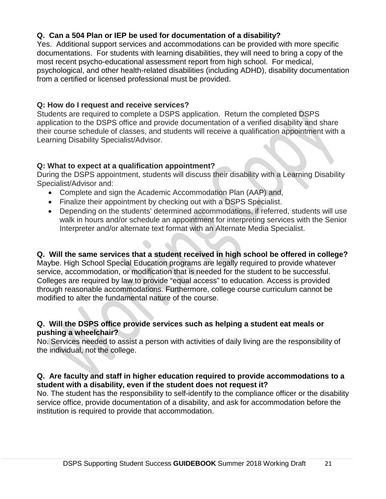### **Q. Can a 504 Plan or IEP be used for documentation of a disability?**

Yes. Additional support services and accommodations can be provided with more specific documentations. For students with learning disabilities, they will need to bring a copy of the most recent psycho-educational assessment report from high school. For medical, psychological, and other health-related disabilities (including ADHD), disability documentation from a certified or licensed professional must be provided.

### **Q: How do I request and receive services?**

Students are required to complete a DSPS application. Return the completed DSPS application to the DSPS office and provide documentation of a verified disability and share their course schedule of classes, and students will receive a qualification appointment with a Learning Disability Specialist/Advisor.

### **Q: What to expect at a qualification appointment?**

During the DSPS appointment, students will discuss their disability with a Learning Disability Specialist/Advisor and:

- Complete and sign the Academic Accommodation Plan (AAP) and,
- Finalize their appointment by checking out with a DSPS Specialist.
- Depending on the students' determined accommodations, if referred, students will use walk in hours and/or schedule an appointment for interpreting services with the Senior Interpreter and/or alternate text format with an Alternate Media Specialist.

### **Q. Will the same services that a student received in high school be offered in college?**

Maybe. High School Special Education programs are legally required to provide whatever service, accommodation, or modification that is needed for the student to be successful. Colleges are required by law to provide "equal access" to education. Access is provided through reasonable accommodations. Furthermore, college course curriculum cannot be modified to alter the fundamental nature of the course.

### **Q. Will the DSPS office provide services such as helping a student eat meals or pushing a wheelchair?**

No. Services needed to assist a person with activities of daily living are the responsibility of the individual, not the college.

#### **Q. Are faculty and staff in higher education required to provide accommodations to a student with a disability, even if the student does not request it?**

No. The student has the responsibility to self-identify to the compliance officer or the disability service office, provide documentation of a disability, and ask for accommodation before the institution is required to provide that accommodation.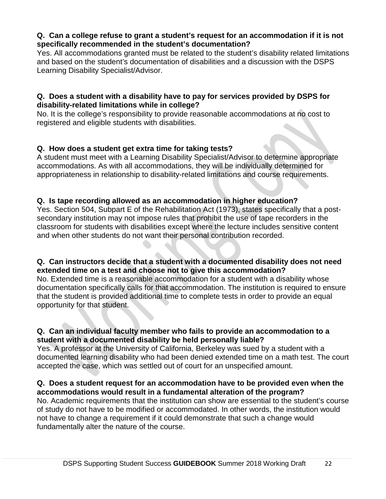### **Q. Can a college refuse to grant a student's request for an accommodation if it is not specifically recommended in the student's documentation?**

Yes. All accommodations granted must be related to the student's disability related limitations and based on the student's documentation of disabilities and a discussion with the DSPS Learning Disability Specialist/Advisor.

#### **Q. Does a student with a disability have to pay for services provided by DSPS for disability-related limitations while in college?**

No. It is the college's responsibility to provide reasonable accommodations at no cost to registered and eligible students with disabilities.

### **Q. How does a student get extra time for taking tests?**

A student must meet with a Learning Disability Specialist/Advisor to determine appropriate accommodations. As with all accommodations, they will be individually determined for appropriateness in relationship to disability-related limitations and course requirements.

### **Q. Is tape recording allowed as an accommodation in higher education?**

Yes. Section 504, Subpart E of the Rehabilitation Act (1973), states specifically that a postsecondary institution may not impose rules that prohibit the use of tape recorders in the classroom for students with disabilities except where the lecture includes sensitive content and when other students do not want their personal contribution recorded.

#### **Q. Can instructors decide that a student with a documented disability does not need extended time on a test and choose not to give this accommodation?**

No. Extended time is a reasonable accommodation for a student with a disability whose documentation specifically calls for that accommodation. The institution is required to ensure that the student is provided additional time to complete tests in order to provide an equal opportunity for that student.

#### **Q. Can an individual faculty member who fails to provide an accommodation to a student with a documented disability be held personally liable?**

Yes. A professor at the University of California, Berkeley was sued by a student with a documented learning disability who had been denied extended time on a math test. The court accepted the case, which was settled out of court for an unspecified amount.

#### **Q. Does a student request for an accommodation have to be provided even when the accommodations would result in a fundamental alteration of the program?**

No. Academic requirements that the institution can show are essential to the student's course of study do not have to be modified or accommodated. In other words, the institution would not have to change a requirement if it could demonstrate that such a change would fundamentally alter the nature of the course.